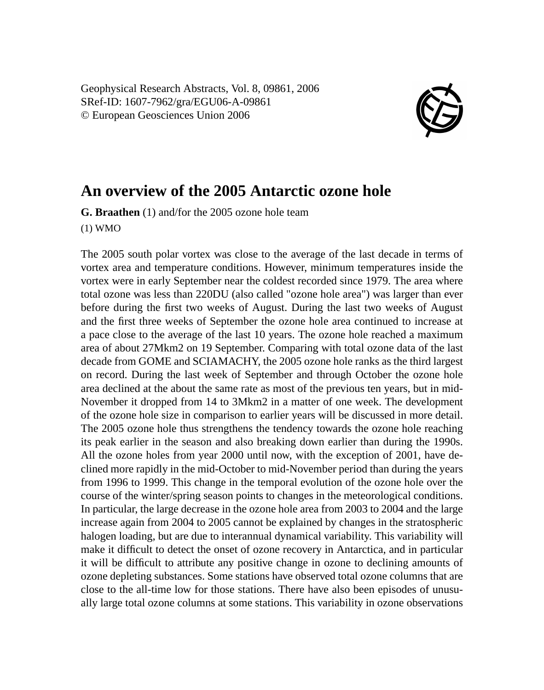Geophysical Research Abstracts, Vol. 8, 09861, 2006 SRef-ID: 1607-7962/gra/EGU06-A-09861 © European Geosciences Union 2006



## **An overview of the 2005 Antarctic ozone hole**

**G. Braathen** (1) and/for the 2005 ozone hole team

(1) WMO

The 2005 south polar vortex was close to the average of the last decade in terms of vortex area and temperature conditions. However, minimum temperatures inside the vortex were in early September near the coldest recorded since 1979. The area where total ozone was less than 220DU (also called "ozone hole area") was larger than ever before during the first two weeks of August. During the last two weeks of August and the first three weeks of September the ozone hole area continued to increase at a pace close to the average of the last 10 years. The ozone hole reached a maximum area of about 27Mkm2 on 19 September. Comparing with total ozone data of the last decade from GOME and SCIAMACHY, the 2005 ozone hole ranks as the third largest on record. During the last week of September and through October the ozone hole area declined at the about the same rate as most of the previous ten years, but in mid-November it dropped from 14 to 3Mkm2 in a matter of one week. The development of the ozone hole size in comparison to earlier years will be discussed in more detail. The 2005 ozone hole thus strengthens the tendency towards the ozone hole reaching its peak earlier in the season and also breaking down earlier than during the 1990s. All the ozone holes from year 2000 until now, with the exception of 2001, have declined more rapidly in the mid-October to mid-November period than during the years from 1996 to 1999. This change in the temporal evolution of the ozone hole over the course of the winter/spring season points to changes in the meteorological conditions. In particular, the large decrease in the ozone hole area from 2003 to 2004 and the large increase again from 2004 to 2005 cannot be explained by changes in the stratospheric halogen loading, but are due to interannual dynamical variability. This variability will make it difficult to detect the onset of ozone recovery in Antarctica, and in particular it will be difficult to attribute any positive change in ozone to declining amounts of ozone depleting substances. Some stations have observed total ozone columns that are close to the all-time low for those stations. There have also been episodes of unusually large total ozone columns at some stations. This variability in ozone observations